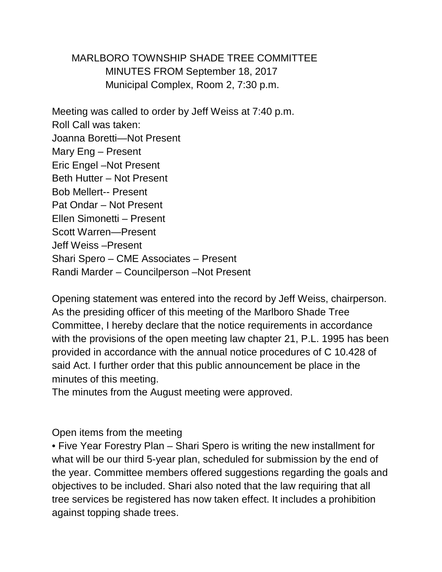MARLBORO TOWNSHIP SHADE TREE COMMITTEE MINUTES FROM September 18, 2017 Municipal Complex, Room 2, 7:30 p.m.

Meeting was called to order by Jeff Weiss at 7:40 p.m. Roll Call was taken: Joanna Boretti—Not Present Mary Eng – Present Eric Engel –Not Present Beth Hutter – Not Present Bob Mellert-- Present Pat Ondar – Not Present Ellen Simonetti – Present Scott Warren—Present Jeff Weiss –Present Shari Spero – CME Associates – Present Randi Marder – Councilperson –Not Present

Opening statement was entered into the record by Jeff Weiss, chairperson. As the presiding officer of this meeting of the Marlboro Shade Tree Committee, I hereby declare that the notice requirements in accordance with the provisions of the open meeting law chapter 21, P.L. 1995 has been provided in accordance with the annual notice procedures of C 10.428 of said Act. I further order that this public announcement be place in the minutes of this meeting.

The minutes from the August meeting were approved.

Open items from the meeting

• Five Year Forestry Plan – Shari Spero is writing the new installment for what will be our third 5-year plan, scheduled for submission by the end of the year. Committee members offered suggestions regarding the goals and objectives to be included. Shari also noted that the law requiring that all tree services be registered has now taken effect. It includes a prohibition against topping shade trees.